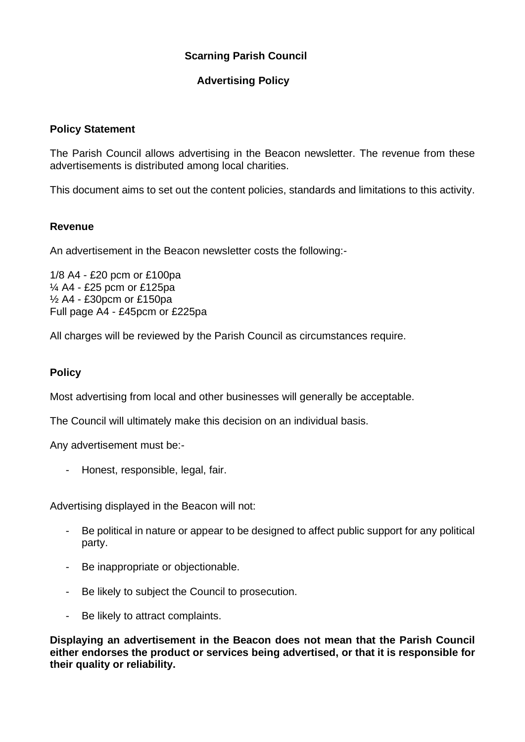# **Scarning Parish Council**

# **Advertising Policy**

## **Policy Statement**

The Parish Council allows advertising in the Beacon newsletter. The revenue from these advertisements is distributed among local charities.

This document aims to set out the content policies, standards and limitations to this activity.

### **Revenue**

An advertisement in the Beacon newsletter costs the following:-

1/8 A4 - £20 pcm or £100pa ¼ A4 - £25 pcm or £125pa ½ A4 - £30pcm or £150pa Full page A4 - £45pcm or £225pa

All charges will be reviewed by the Parish Council as circumstances require.

## **Policy**

Most advertising from local and other businesses will generally be acceptable.

The Council will ultimately make this decision on an individual basis.

Any advertisement must be:-

- Honest, responsible, legal, fair.

Advertising displayed in the Beacon will not:

- Be political in nature or appear to be designed to affect public support for any political party.
- Be inappropriate or objectionable.
- Be likely to subject the Council to prosecution.
- Be likely to attract complaints.

**Displaying an advertisement in the Beacon does not mean that the Parish Council either endorses the product or services being advertised, or that it is responsible for their quality or reliability.**